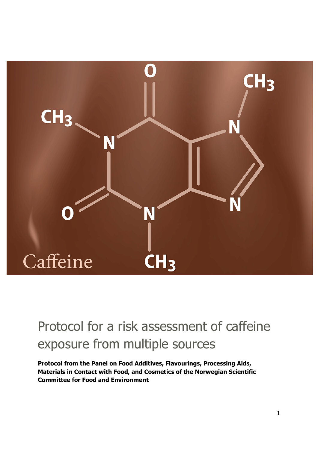

# <span id="page-0-0"></span>Protocol for a risk assessment of caffeine exposure from multiple sources

**Protocol from the Panel on Food Additives, Flavourings, Processing Aids, Materials in Contact with Food, and Cosmetics of the Norwegian Scientific Committee for Food and Environment**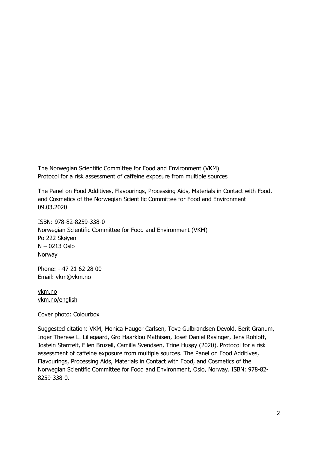The Norwegian Scientific Committee for Food and Environment (VKM) Protocol for a risk assessment of caffeine exposure from multiple sources

The Panel on Food Additives, Flavourings, Processing Aids, Materials in Contact with Food, and Cosmetics of the Norwegian Scientific Committee for Food and Environment 09.03.2020

ISBN: 978-82-8259-338-0 Norwegian Scientific Committee for Food and Environment (VKM) Po 222 Skøyen N – 0213 Oslo Norway

Phone: +47 21 62 28 00 Email: [vkm@vkm.no](mailto:vkm@vkm.no)

[vkm.no](https://vkm.no/) [vkm.no/english](https://vkm.no/english)

Cover photo: Colourbox

Suggested citation: VKM, Monica Hauger Carlsen, Tove Gulbrandsen Devold, Berit Granum, Inger Therese L. Lillegaard, Gro Haarklou Mathisen, Josef Daniel Rasinger, Jens Rohloff, Jostein Starrfelt, Ellen Bruzell, Camilla Svendsen, Trine Husøy (2020). Protocol for a risk assessment of caffeine exposure from multiple sources. The Panel on Food Additives, Flavourings, Processing Aids, Materials in Contact with Food, and Cosmetics of the Norwegian Scientific Committee for Food and Environment, Oslo, Norway. ISBN: 978-82- 8259-338-0.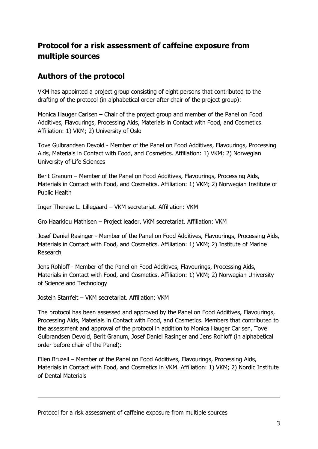## **Protocol for a risk assessment of caffeine exposure from multiple sources**

## **Authors of the protocol**

VKM has appointed a project group consisting of eight persons that contributed to the drafting of the protocol (in alphabetical order after chair of the project group):

Monica Hauger Carlsen – Chair of the project group and member of the Panel on Food Additives, Flavourings, Processing Aids, Materials in Contact with Food, and Cosmetics. Affiliation: 1) VKM; 2) University of Oslo

Tove Gulbrandsen Devold - Member of the Panel on Food Additives, Flavourings, Processing Aids, Materials in Contact with Food, and Cosmetics. Affiliation: 1) VKM; 2) Norwegian University of Life Sciences

Berit Granum – Member of the Panel on Food Additives, Flavourings, Processing Aids, Materials in Contact with Food, and Cosmetics. Affiliation: 1) VKM; 2) Norwegian Institute of Public Health

Inger Therese L. Lillegaard – VKM secretariat. Affiliation: VKM

Gro Haarklou Mathisen – Project leader, VKM secretariat. Affiliation: VKM

Josef Daniel Rasinger - Member of the Panel on Food Additives, Flavourings, Processing Aids, Materials in Contact with Food, and Cosmetics. Affiliation: 1) VKM; 2) Institute of Marine Research

Jens Rohloff - Member of the Panel on Food Additives, Flavourings, Processing Aids, Materials in Contact with Food, and Cosmetics. Affiliation: 1) VKM; 2) Norwegian University of Science and Technology

Jostein Starrfelt – VKM secretariat. Affiliation: VKM

The protocol has been assessed and approved by the Panel on Food Additives, Flavourings, Processing Aids, Materials in Contact with Food, and Cosmetics. Members that contributed to the assessment and approval of the protocol in addition to Monica Hauger Carlsen, Tove Gulbrandsen Devold, Berit Granum, Josef Daniel Rasinger and Jens Rohloff (in alphabetical order before chair of the Panel):

Ellen Bruzell – Member of the Panel on Food Additives, Flavourings, Processing Aids, Materials in Contact with Food, and Cosmetics in VKM. Affiliation: 1) VKM; 2) Nordic Institute of Dental Materials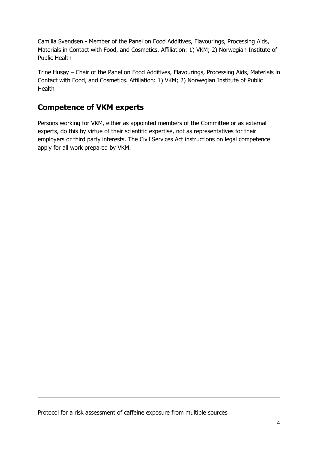Camilla Svendsen - Member of the Panel on Food Additives, Flavourings, Processing Aids, Materials in Contact with Food, and Cosmetics. Affiliation: 1) VKM; 2) Norwegian Institute of Public Health

Trine Husøy – Chair of the Panel on Food Additives, Flavourings, Processing Aids, Materials in Contact with Food, and Cosmetics. Affiliation: 1) VKM; 2) Norwegian Institute of Public **Health** 

## **Competence of VKM experts**

Persons working for VKM, either as appointed members of the Committee or as external experts, do this by virtue of their scientific expertise, not as representatives for their employers or third party interests. The Civil Services Act instructions on legal competence apply for all work prepared by VKM.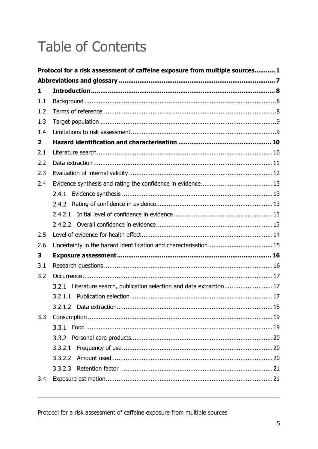# **Table of Contents**

|                | Protocol for a risk assessment of caffeine exposure from multiple sources 1 |  |  |
|----------------|-----------------------------------------------------------------------------|--|--|
|                |                                                                             |  |  |
| 1              |                                                                             |  |  |
| 1.1            |                                                                             |  |  |
| 1.2            |                                                                             |  |  |
| 1.3            |                                                                             |  |  |
| 1.4            |                                                                             |  |  |
| $\overline{2}$ |                                                                             |  |  |
| 2.1            |                                                                             |  |  |
| 2.2            |                                                                             |  |  |
| 2.3            |                                                                             |  |  |
| 2.4            |                                                                             |  |  |
|                | 2.4.1                                                                       |  |  |
|                | 2.4.2                                                                       |  |  |
|                | 2.4.2.1                                                                     |  |  |
|                |                                                                             |  |  |
| 2.5            |                                                                             |  |  |
| 2.6            |                                                                             |  |  |
| 3              |                                                                             |  |  |
| 3.1            |                                                                             |  |  |
| 3.2            |                                                                             |  |  |
|                | 3.2.1 Literature search, publication selection and data extraction 17       |  |  |
|                | 3.2.1.1                                                                     |  |  |
|                |                                                                             |  |  |
| 3.3            |                                                                             |  |  |
|                | 3.3.1                                                                       |  |  |
|                |                                                                             |  |  |
|                | 3.3.2.1                                                                     |  |  |
|                | 3.3.2.2                                                                     |  |  |
|                | 3.3.2.3                                                                     |  |  |
| 3.4            |                                                                             |  |  |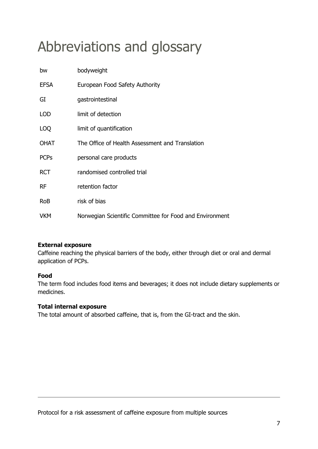# <span id="page-6-0"></span>Abbreviations and glossary

| bw          | bodyweight                                              |
|-------------|---------------------------------------------------------|
| <b>EFSA</b> | European Food Safety Authority                          |
| GI          | gastrointestinal                                        |
| <b>LOD</b>  | limit of detection                                      |
| LOQ         | limit of quantification                                 |
| <b>OHAT</b> | The Office of Health Assessment and Translation         |
| <b>PCPs</b> | personal care products                                  |
| <b>RCT</b>  | randomised controlled trial                             |
| <b>RF</b>   | retention factor                                        |
| <b>RoB</b>  | risk of bias                                            |
| <b>VKM</b>  | Norwegian Scientific Committee for Food and Environment |

#### **External exposure**

Caffeine reaching the physical barriers of the body, either through diet or oral and dermal application of PCPs.

#### **Food**

The term food includes food items and beverages; it does not include dietary supplements or medicines.

#### **Total internal exposure**

The total amount of absorbed caffeine, that is, from the GI-tract and the skin.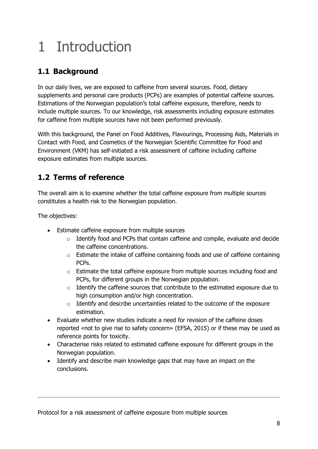# <span id="page-7-0"></span>1 Introduction

# <span id="page-7-1"></span>**1.1 Background**

In our daily lives, we are exposed to caffeine from several sources. Food, dietary supplements and personal care products (PCPs) are examples of potential caffeine sources. Estimations of the Norwegian population's total caffeine exposure, therefore, needs to include multiple sources. To our knowledge, risk assessments including exposure estimates for caffeine from multiple sources have not been performed previously.

With this background, the Panel on Food Additives, Flavourings, Processing Aids, Materials in Contact with Food, and Cosmetics of the Norwegian Scientific Committee for Food and Environment (VKM) has self-initiated a risk assessment of caffeine including caffeine exposure estimates from multiple sources.

## <span id="page-7-2"></span>**1.2 Terms of reference**

The overall aim is to examine whether the total caffeine exposure from multiple sources constitutes a health risk to the Norwegian population.

The objectives:

- Estimate caffeine exposure from multiple sources
	- o Identify food and PCPs that contain caffeine and compile, evaluate and decide the caffeine concentrations.
	- o Estimate the intake of caffeine containing foods and use of caffeine containing PCPs.
	- o Estimate the total caffeine exposure from multiple sources including food and PCPs, for different groups in the Norwegian population.
	- o Identify the caffeine sources that contribute to the estimated exposure due to high consumption and/or high concentration.
	- o Identify and describe uncertainties related to the outcome of the exposure estimation.
- Evaluate whether new studies indicate a need for revision of the caffeine doses reported «not to give rise to safety concern» (EFSA, 2015) or if these may be used as reference points for toxicity.
- Characterise risks related to estimated caffeine exposure for different groups in the Norwegian population.
- Identify and describe main knowledge gaps that may have an impact on the conclusions.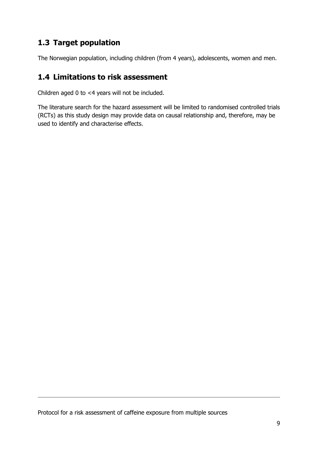## <span id="page-8-0"></span>**1.3 Target population**

The Norwegian population, including children (from 4 years), adolescents, women and men.

## <span id="page-8-1"></span>**1.4 Limitations to risk assessment**

Children aged 0 to <4 years will not be included.

The literature search for the hazard assessment will be limited to randomised controlled trials (RCTs) as this study design may provide data on causal relationship and, therefore, may be used to identify and characterise effects.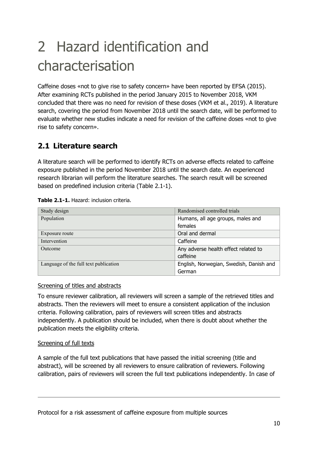# <span id="page-9-0"></span>2 Hazard identification and characterisation

Caffeine doses «not to give rise to safety concern» have been reported by EFSA (2015). After examining RCTs published in the period January 2015 to November 2018, VKM concluded that there was no need for revision of these doses (VKM et al., 2019). A literature search, covering the period from November 2018 until the search date, will be performed to evaluate whether new studies indicate a need for revision of the caffeine doses «not to give rise to safety concern».

## <span id="page-9-1"></span>**2.1 Literature search**

A literature search will be performed to identify RCTs on adverse effects related to caffeine exposure published in the period November 2018 until the search date. An experienced research librarian will perform the literature searches. The search result will be screened based on predefined inclusion criteria (Table 2.1-1).

| Study design<br>Randomised controlled trials |                                         |  |
|----------------------------------------------|-----------------------------------------|--|
| Population                                   | Humans, all age groups, males and       |  |
|                                              | females                                 |  |
| Exposure route                               | Oral and dermal                         |  |
| Intervention                                 | Caffeine                                |  |
| Outcome                                      | Any adverse health effect related to    |  |
|                                              | caffeine                                |  |
| Language of the full text publication        | English, Norwegian, Swedish, Danish and |  |
|                                              | German                                  |  |

#### **Table 2.1-1.** Hazard: inclusion criteria.

#### Screening of titles and abstracts

To ensure reviewer calibration, all reviewers will screen a sample of the retrieved titles and abstracts. Then the reviewers will meet to ensure a consistent application of the inclusion criteria. Following calibration, pairs of reviewers will screen titles and abstracts independently. A publication should be included, when there is doubt about whether the publication meets the eligibility criteria.

#### Screening of full texts

A sample of the full text publications that have passed the initial screening (title and abstract), will be screened by all reviewers to ensure calibration of reviewers. Following calibration, pairs of reviewers will screen the full text publications independently. In case of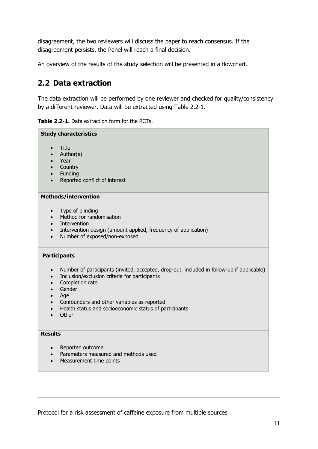disagreement, the two reviewers will discuss the paper to reach consensus. If the disagreement persists, the Panel will reach a final decision.

An overview of the results of the study selection will be presented in a flowchart.

## <span id="page-10-0"></span>**2.2 Data extraction**

The data extraction will be performed by one reviewer and checked for quality/consistency by a different reviewer. Data will be extracted using Table 2.2-1.

| Table 2.2-1. Data extraction form for the RCTs. |  |
|-------------------------------------------------|--|
|-------------------------------------------------|--|

## **Study characteristics** • Title • Author(s) • Year • Country • Funding • Reported conflict of interest **Methods/intervention** • Type of blinding • Method for randomisation • Intervention • Intervention design (amount applied, frequency of application) • Number of exposed/non-exposed **Participants** • Number of participants (invited, accepted, drop-out, included in follow-up if applicable) • Inclusion/exclusion criteria for participants • Completion rate • Gender • Age • Confounders and other variables as reported • Health status and socioeconomic status of participants • Other **Results** • Reported outcome • Parameters measured and methods used • Measurement time points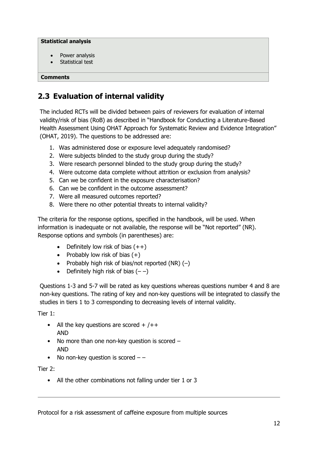#### **Statistical analysis**

- Power analysis
- Statistical test

<span id="page-11-0"></span>**Comments**

## **2.3 Evaluation of internal validity**

The included RCTs will be divided between pairs of reviewers for evaluation of internal validity/risk of bias (RoB) as described in "Handbook for Conducting a Literature-Based Health Assessment Using OHAT Approach for Systematic Review and Evidence Integration" (OHAT, 2019). The questions to be addressed are:

- 1. Was administered dose or exposure level adequately randomised?
- 2. Were subjects blinded to the study group during the study?
- 3. Were research personnel blinded to the study group during the study?
- 4. Were outcome data complete without attrition or exclusion from analysis?
- 5. Can we be confident in the exposure characterisation?
- 6. Can we be confident in the outcome assessment?
- 7. Were all measured outcomes reported?
- 8. Were there no other potential threats to internal validity?

The criteria for the response options, specified in the handbook, will be used. When information is inadequate or not available, the response will be "Not reported" (NR). Response options and symbols (in parentheses) are:

- Definitely low risk of bias  $(++)$
- Probably low risk of bias  $(+)$
- Probably high risk of bias/not reported  $(NR)$   $(-)$
- Definitely high risk of bias  $(--)$

Questions 1-3 and 5-7 will be rated as key questions whereas questions number 4 and 8 are non-key questions. The rating of key and non-key questions will be integrated to classify the studies in tiers 1 to 3 corresponding to decreasing levels of internal validity.

Tier 1:

- All the key questions are scored  $+$  / $+$ AND
- No more than one non-key question is scored AND
- No non-key question is scored  $-$  –

Tier 2:

• All the other combinations not falling under tier 1 or 3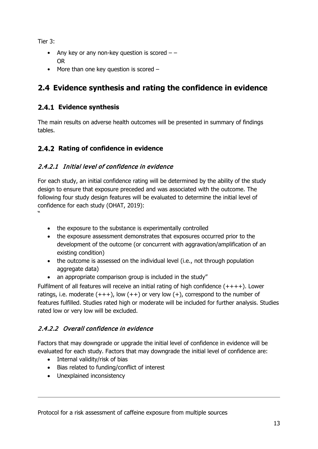Tier 3:

- Any key or any non-key question is scored  $-$  OR
- More than one key question is scored –

## <span id="page-12-0"></span>**2.4 Evidence synthesis and rating the confidence in evidence**

### <span id="page-12-1"></span>**Evidence synthesis**

The main results on adverse health outcomes will be presented in summary of findings tables.

### <span id="page-12-2"></span>**2.4.2 Rating of confidence in evidence**

#### <span id="page-12-3"></span>2.4.2.1 Initial level of confidence in evidence

For each study, an initial confidence rating will be determined by the ability of the study design to ensure that exposure preceded and was associated with the outcome. The following four study design features will be evaluated to determine the initial level of confidence for each study (OHAT, 2019):

"

- the exposure to the substance is experimentally controlled
- the exposure assessment demonstrates that exposures occurred prior to the development of the outcome (or concurrent with aggravation/amplification of an existing condition)
- the outcome is assessed on the individual level (i.e., not through population aggregate data)
- an appropriate comparison group is included in the study"

Fulfilment of all features will receive an initial rating of high confidence  $(+++)$ . Lower ratings, i.e. moderate  $(+++)$ , low  $(+)$  or very low  $(+)$ , correspond to the number of features fulfilled. Studies rated high or moderate will be included for further analysis. Studies rated low or very low will be excluded.

### <span id="page-12-4"></span>2.4.2.2 Overall confidence in evidence

Factors that may downgrade or upgrade the initial level of confidence in evidence will be evaluated for each study. Factors that may downgrade the initial level of confidence are:

- Internal validity/risk of bias
- Bias related to funding/conflict of interest
- Unexplained inconsistency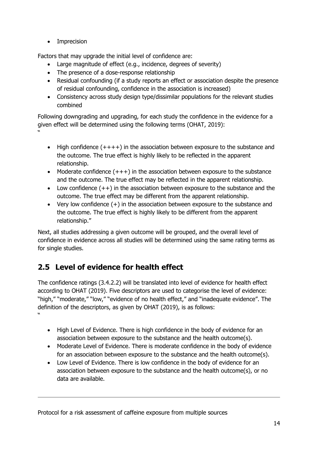• Imprecision

Factors that may upgrade the initial level of confidence are:

- Large magnitude of effect (e.g., incidence, degrees of severity)
- The presence of a dose-response relationship
- Residual confounding (if a study reports an effect or association despite the presence of residual confounding, confidence in the association is increased)
- Consistency across study design type/dissimilar populations for the relevant studies combined

Following downgrading and upgrading, for each study the confidence in the evidence for a given effect will be determined using the following terms (OHAT, 2019): "

- High confidence (++++) in the association between exposure to the substance and the outcome. The true effect is highly likely to be reflected in the apparent relationship.
- Moderate confidence  $(+++)$  in the association between exposure to the substance and the outcome. The true effect may be reflected in the apparent relationship.
- Low confidence  $(++)$  in the association between exposure to the substance and the outcome. The true effect may be different from the apparent relationship.
- Very low confidence (+) in the association between exposure to the substance and the outcome. The true effect is highly likely to be different from the apparent relationship."

Next, all studies addressing a given outcome will be grouped, and the overall level of confidence in evidence across all studies will be determined using the same rating terms as for single studies.

# <span id="page-13-0"></span>**2.5 Level of evidence for health effect**

The confidence ratings (3.4.2.2) will be translated into level of evidence for health effect according to OHAT (2019). Five descriptors are used to categorise the level of evidence: "high," "moderate," "low," "evidence of no health effect," and "inadequate evidence". The definition of the descriptors, as given by OHAT (2019), is as follows: "

- High Level of Evidence. There is high confidence in the body of evidence for an association between exposure to the substance and the health outcome(s).
- Moderate Level of Evidence. There is moderate confidence in the body of evidence for an association between exposure to the substance and the health outcome(s).
- Low Level of Evidence. There is low confidence in the body of evidence for an association between exposure to the substance and the health outcome(s), or no data are available.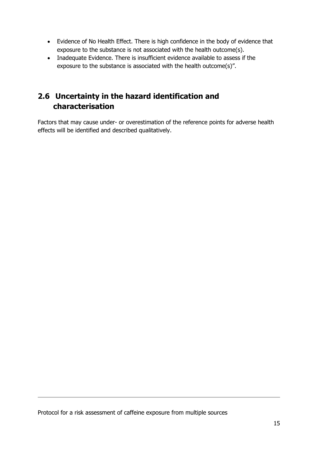- Evidence of No Health Effect. There is high confidence in the body of evidence that exposure to the substance is not associated with the health outcome(s).
- Inadequate Evidence. There is insufficient evidence available to assess if the exposure to the substance is associated with the health outcome(s)".

## <span id="page-14-0"></span>**2.6 Uncertainty in the hazard identification and characterisation**

Factors that may cause under- or overestimation of the reference points for adverse health effects will be identified and described qualitatively.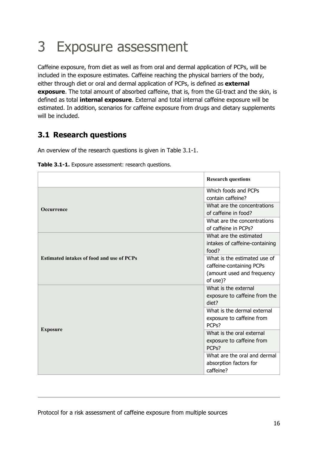# <span id="page-15-0"></span>3 Exposure assessment

Caffeine exposure, from diet as well as from oral and dermal application of PCPs, will be included in the exposure estimates. Caffeine reaching the physical barriers of the body, either through diet or oral and dermal application of PCPs, is defined as **external exposure**. The total amount of absorbed caffeine, that is, from the GI-tract and the skin, is defined as total **internal exposure**. External and total internal caffeine exposure will be estimated. In addition, scenarios for caffeine exposure from drugs and dietary supplements will be included.

## <span id="page-15-1"></span>**3.1 Research questions**

An overview of the research questions is given in Table 3.1-1.

| Table 3.1-1. Exposure assessment: research questions. |  |  |  |  |  |
|-------------------------------------------------------|--|--|--|--|--|
|-------------------------------------------------------|--|--|--|--|--|

|                                                  | <b>Research questions</b>                                                                          |
|--------------------------------------------------|----------------------------------------------------------------------------------------------------|
| <b>Occurrence</b>                                | Which foods and PCPs<br>contain caffeine?<br>What are the concentrations<br>of caffeine in food?   |
|                                                  | What are the concentrations<br>of caffeine in PCPs?                                                |
|                                                  | What are the estimated<br>intakes of caffeine-containing<br>food?                                  |
| <b>Estimated intakes of food and use of PCPs</b> | What is the estimated use of<br>caffeine-containing PCPs<br>(amount used and frequency<br>of use)? |
|                                                  | What is the external<br>exposure to caffeine from the<br>diet?                                     |
|                                                  | What is the dermal external<br>exposure to caffeine from<br>PCP <sub>s</sub> ?                     |
| <b>Exposure</b>                                  | What is the oral external<br>exposure to caffeine from<br>PCP <sub>s</sub> ?                       |
|                                                  | What are the oral and dermal<br>absorption factors for<br>caffeine?                                |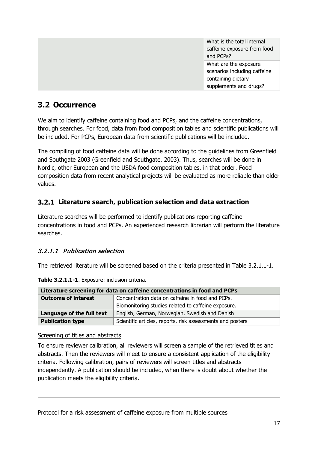| What is the total internal   |
|------------------------------|
| caffeine exposure from food  |
| and PCPs?                    |
| What are the exposure        |
| scenarios including caffeine |
| containing dietary           |
| supplements and drugs?       |

## <span id="page-16-0"></span>**3.2 Occurrence**

We aim to identify caffeine containing food and PCPs, and the caffeine concentrations, through searches. For food, data from food composition tables and scientific publications will be included. For PCPs, European data from scientific publications will be included.

The compiling of food caffeine data will be done according to the guidelines from Greenfield and Southgate 2003 (Greenfield and Southgate, 2003). Thus, searches will be done in Nordic, other European and the USDA food composition tables, in that order. Food composition data from recent analytical projects will be evaluated as more reliable than older values.

### <span id="page-16-1"></span>**Literature search, publication selection and data extraction**

Literature searches will be performed to identify publications reporting caffeine concentrations in food and PCPs. An experienced research librarian will perform the literature searches.

### <span id="page-16-2"></span>3.2.1.1 Publication selection

The retrieved literature will be screened based on the criteria presented in Table 3.2.1.1-1.

| Literature screening for data on caffeine concentrations in food and PCPs |                                                            |  |
|---------------------------------------------------------------------------|------------------------------------------------------------|--|
| <b>Outcome of interest</b>                                                | Concentration data on caffeine in food and PCPs.           |  |
|                                                                           | Biomonitoring studies related to caffeine exposure.        |  |
| Language of the full text                                                 | English, German, Norwegian, Swedish and Danish             |  |
| <b>Publication type</b>                                                   | Scientific articles, reports, risk assessments and posters |  |

**Table 3.2.1.1-1**. Exposure: inclusion criteria.

Screening of titles and abstracts

To ensure reviewer calibration, all reviewers will screen a sample of the retrieved titles and abstracts. Then the reviewers will meet to ensure a consistent application of the eligibility criteria. Following calibration, pairs of reviewers will screen titles and abstracts independently. A publication should be included, when there is doubt about whether the publication meets the eligibility criteria.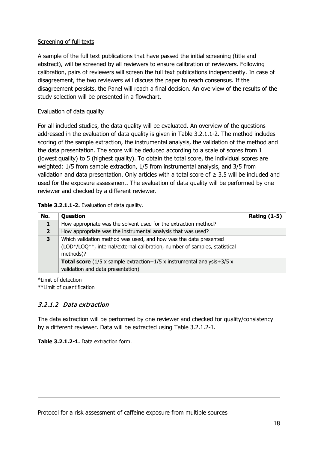#### Screening of full texts

A sample of the full text publications that have passed the initial screening (title and abstract), will be screened by all reviewers to ensure calibration of reviewers. Following calibration, pairs of reviewers will screen the full text publications independently. In case of disagreement, the two reviewers will discuss the paper to reach consensus. If the disagreement persists, the Panel will reach a final decision. An overview of the results of the study selection will be presented in a flowchart.

#### Evaluation of data quality

For all included studies, the data quality will be evaluated. An overview of the questions addressed in the evaluation of data quality is given in Table 3.2.1.1-2. The method includes scoring of the sample extraction, the instrumental analysis, the validation of the method and the data presentation. The score will be deduced according to a scale of scores from 1 (lowest quality) to 5 (highest quality). To obtain the total score, the individual scores are weighted: 1/5 from sample extraction, 1/5 from instrumental analysis, and 3/5 from validation and data presentation. Only articles with a total score of  $\geq$  3.5 will be included and used for the exposure assessment. The evaluation of data quality will be performed by one reviewer and checked by a different reviewer.

#### **Table 3.2.1.1-2.** Evaluation of data quality.

| No.            | Question                                                                                                                                                    | <b>Rating (1-5)</b> |
|----------------|-------------------------------------------------------------------------------------------------------------------------------------------------------------|---------------------|
|                | How appropriate was the solvent used for the extraction method?                                                                                             |                     |
| $\overline{2}$ | How appropriate was the instrumental analysis that was used?                                                                                                |                     |
| 3              | Which validation method was used, and how was the data presented<br>(LOD*/LOQ**, internal/external calibration, number of samples, statistical<br>methods)? |                     |
|                | <b>Total score</b> ( $1/5$ x sample extraction+ $1/5$ x instrumental analysis+ $3/5$ x<br>validation and data presentation)                                 |                     |

\*Limit of detection \*\*Limit of quantification

### <span id="page-17-0"></span>3.2.1.2 Data extraction

The data extraction will be performed by one reviewer and checked for quality/consistency by a different reviewer. Data will be extracted using Table 3.2.1.2-1.

**Table 3.2.1.2-1.** Data extraction form.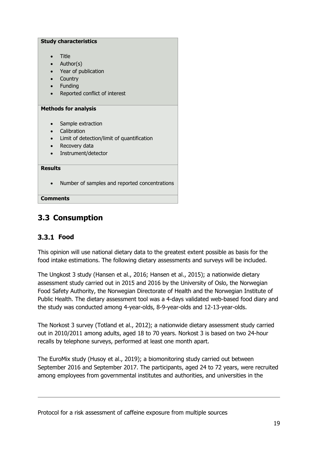| <b>Study characteristics</b>                                             |  |  |
|--------------------------------------------------------------------------|--|--|
| Title<br>$\bullet$                                                       |  |  |
| Author(s)                                                                |  |  |
| Year of publication<br>$\bullet$                                         |  |  |
| Country<br>$\bullet$                                                     |  |  |
| Funding<br>$\bullet$                                                     |  |  |
| Reported conflict of interest                                            |  |  |
|                                                                          |  |  |
| <b>Methods for analysis</b>                                              |  |  |
|                                                                          |  |  |
| Sample extraction<br>Calibration                                         |  |  |
|                                                                          |  |  |
| Limit of detection/limit of quantification<br>Recovery data<br>$\bullet$ |  |  |
| Instrument/detector                                                      |  |  |
|                                                                          |  |  |
| <b>Results</b>                                                           |  |  |
| Number of samples and reported concentrations                            |  |  |
| Comments                                                                 |  |  |

## <span id="page-18-0"></span>**3.3 Consumption**

### <span id="page-18-1"></span>3.3.1 Food

This opinion will use national dietary data to the greatest extent possible as basis for the food intake estimations. The following dietary assessments and surveys will be included.

The Ungkost 3 study (Hansen et al., 2016; Hansen et al., 2015); a nationwide dietary assessment study carried out in 2015 and 2016 by the University of Oslo, the Norwegian Food Safety Authority, the Norwegian Directorate of Health and the Norwegian Institute of Public Health. The dietary assessment tool was a 4-days validated web-based food diary and the study was conducted among 4-year-olds, 8-9-year-olds and 12-13-year-olds.

The Norkost 3 survey (Totland et al., 2012); a nationwide dietary assessment study carried out in 2010/2011 among adults, aged 18 to 70 years. Norkost 3 is based on two 24-hour recalls by telephone surveys, performed at least one month apart.

The EuroMix study (Husoy et al., 2019); a biomonitoring study carried out between September 2016 and September 2017. The participants, aged 24 to 72 years, were recruited among employees from governmental institutes and authorities, and universities in the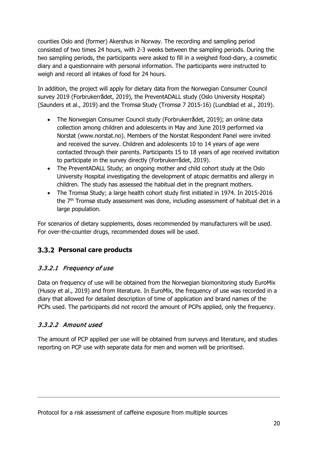counties Oslo and (former) Akershus in Norway. The recording and sampling period consisted of two times 24 hours, with 2-3 weeks between the sampling periods. During the two sampling periods, the participants were asked to fill in a weighed food-diary, a cosmetic diary and a questionnaire with personal information. The participants were instructed to weigh and record all intakes of food for 24 hours.

In addition, the project will apply for dietary data from the Norwegian Consumer Council survey 2019 (Forbrukerrådet, 2019), the PreventADALL study (Oslo University Hospital) (Saunders et al., 2019) and the Tromsø Study (Tromsø 7 2015-16) (Lundblad et al., 2019).

- The Norwegian Consumer Council study (Forbrukerrådet, 2019); an online data collection among children and adolescents in May and June 2019 performed via Norstat (www.norstat.no). Members of the Norstat Respondent Panel were invited and received the survey. Children and adolescents 10 to 14 years of age were contacted through their parents. Participants 15 to 18 years of age received invitation to participate in the survey directly (Forbrukerrådet, 2019).
- The PreventADALL Study; an ongoing mother and child cohort study at the Oslo University Hospital investigating the development of atopic dermatitis and allergy in children. The study has assessed the habitual diet in the pregnant mothers.
- The Tromsø Study; a large health cohort study first initiated in 1974. In 2015-2016 the 7<sup>th</sup> Tromsø study assessment was done, including assessment of habitual diet in a large population.

For scenarios of dietary supplements, doses recommended by manufacturers will be used. For over-the-counter drugs, recommended doses will be used.

## <span id="page-19-0"></span>**Personal care products**

### <span id="page-19-1"></span>3.3.2.1 Frequency of use

Data on frequency of use will be obtained from the Norwegian biomonitoring study EuroMix (Husoy et al., 2019) and from literature. In EuroMix, the frequency of use was recorded in a diary that allowed for detailed description of time of application and brand names of the PCPs used. The participants did not record the amount of PCPs applied, only the frequency.

#### <span id="page-19-2"></span>3.3.2.2 Amount used

The amount of PCP applied per use will be obtained from surveys and literature, and studies reporting on PCP use with separate data for men and women will be prioritised.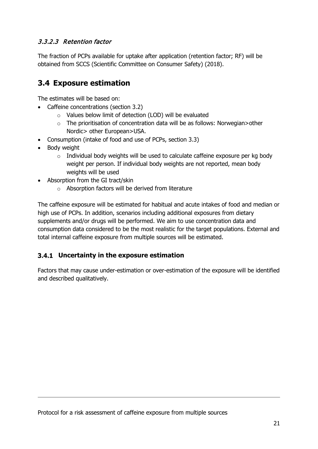#### <span id="page-20-0"></span>3.3.2.3 Retention factor

The fraction of PCPs available for uptake after application (retention factor; RF) will be obtained from SCCS (Scientific Committee on Consumer Safety) (2018).

## <span id="page-20-1"></span>**3.4 Exposure estimation**

The estimates will be based on:

- Caffeine concentrations (section 3.2)
	- o Values below limit of detection (LOD) will be evaluated
	- o The prioritisation of concentration data will be as follows: Norwegian>other Nordic> other European>USA.
- Consumption (intake of food and use of PCPs, section 3.3)
- Body weight
	- $\circ$  Individual body weights will be used to calculate caffeine exposure per kg body weight per person. If individual body weights are not reported, mean body weights will be used
- Absorption from the GI tract/skin
	- o Absorption factors will be derived from literature

The caffeine exposure will be estimated for habitual and acute intakes of food and median or high use of PCPs. In addition, scenarios including additional exposures from dietary supplements and/or drugs will be performed. We aim to use concentration data and consumption data considered to be the most realistic for the target populations. External and total internal caffeine exposure from multiple sources will be estimated.

#### <span id="page-20-2"></span>**Uncertainty in the exposure estimation**

Factors that may cause under-estimation or over-estimation of the exposure will be identified and described qualitatively.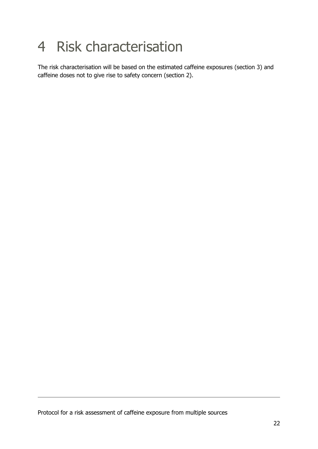# <span id="page-21-0"></span>4 Risk characterisation

The risk characterisation will be based on the estimated caffeine exposures (section 3) and caffeine doses not to give rise to safety concern (section 2).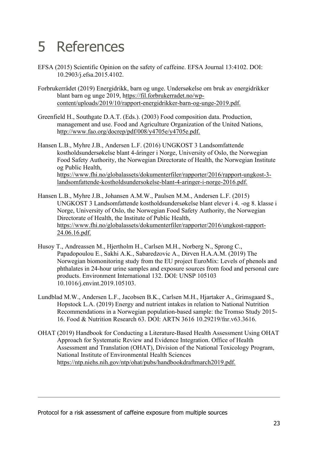# <span id="page-22-0"></span>5 References

- EFSA (2015) Scientific Opinion on the safety of caffeine. EFSA Journal 13:4102. DOI: 10.2903/j.efsa.2015.4102.
- Forbrukerrådet (2019) Energidrikk, barn og unge. Undersøkelse om bruk av energidrikker blant barn og unge 2019, [https://fil.forbrukerradet.no/wp](ttps://fil.forbrukerradet.no/wp-content/uploads/2019/10/rapport-energidrikker-barn-og-unge-2019.pdf.)[content/uploads/2019/10/rapport-energidrikker-barn-og-unge-2019.pdf.](ttps://fil.forbrukerradet.no/wp-content/uploads/2019/10/rapport-energidrikker-barn-og-unge-2019.pdf.)
- Greenfield H., Southgate D.A.T. (Eds.). (2003) Food composition data. Production, management and use. Food and Agriculture Organization of the United Nations, [http://www.fao.org/docrep/pdf/008/y4705e/y4705e.pdf.](ttp://www.fao.org/docrep/pdf/008/y4705e/y4705e.pdf.)

Hansen L.B., Myhre J.B., Andersen L.F. (2016) UNGKOST 3 Landsomfattende kostholdsundersøkelse blant 4-åringer i Norge, University of Oslo, the Norwegian Food Safety Authority, the Norwegian Directorate of Health, the Norwegian Institute og Public Health, [https://www.fhi.no/globalassets/dokumenterfiler/rapporter/2016/rapport-ungkost-3](ttps://www.fhi.no/globalassets/dokumenterfiler/rapporter/2016/rapport-ungkost-3-landsomfattende-kostholdsundersokelse-blant-4-aringer-i-norge-2016.pdf.) [landsomfattende-kostholdsundersokelse-blant-4-aringer-i-norge-2016.pdf.](ttps://www.fhi.no/globalassets/dokumenterfiler/rapporter/2016/rapport-ungkost-3-landsomfattende-kostholdsundersokelse-blant-4-aringer-i-norge-2016.pdf.)

- Hansen L.B., Myhre J.B., Johansen A.M.W., Paulsen M.M., Andersen L.F. (2015) UNGKOST 3 Landsomfattende kostholdsundersøkelse blant elever i 4. -og 8. klasse i Norge, University of Oslo, the Norwegian Food Safety Authority, the Norwegian Directorate of Health, the Institute of Public Health, [https://www.fhi.no/globalassets/dokumenterfiler/rapporter/2016/ungkost-rapport-](ttps://www.fhi.no/globalassets/dokumenterfiler/rapporter/2016/ungkost-rapport-24.06.16.pdf.)[24.06.16.pdf.](ttps://www.fhi.no/globalassets/dokumenterfiler/rapporter/2016/ungkost-rapport-24.06.16.pdf.)
- Husoy T., Andreassen M., Hjertholm H., Carlsen M.H., Norberg N., Sprong C., Papadopoulou E., Sakhi A.K., Sabaredzovic A., Dirven H.A.A.M. (2019) The Norwegian biomonitoring study from the EU project EuroMix: Levels of phenols and phthalates in 24-hour urine samples and exposure sources from food and personal care products. Environment International 132. DOI: UNSP 105103 10.1016/j.envint.2019.105103.
- Lundblad M.W., Andersen L.F., Jacobsen B.K., Carlsen M.H., Hjartaker A., Grimsgaard S., Hopstock L.A. (2019) Energy and nutrient intakes in relation to National Nutrition Recommendations in a Norwegian population-based sample: the Tromso Study 2015- 16. Food & Nutrition Research 63. DOI: ARTN 3616 10.29219/fnr.v63.3616.
- OHAT (2019) Handbook for Conducting a Literature-Based Health Assessment Using OHAT Approach for Systematic Review and Evidence Integration. Office of Health Assessment and Translation (OHAT), Division of the National Toxicology Program, National Institute of Environmental Health Sciences [https://ntp.niehs.nih.gov/ntp/ohat/pubs/handbookdraftmarch2019.pdf.](ttps://ntp.niehs.nih.gov/ntp/ohat/pubs/handbookdraftmarch2019.pdf.)